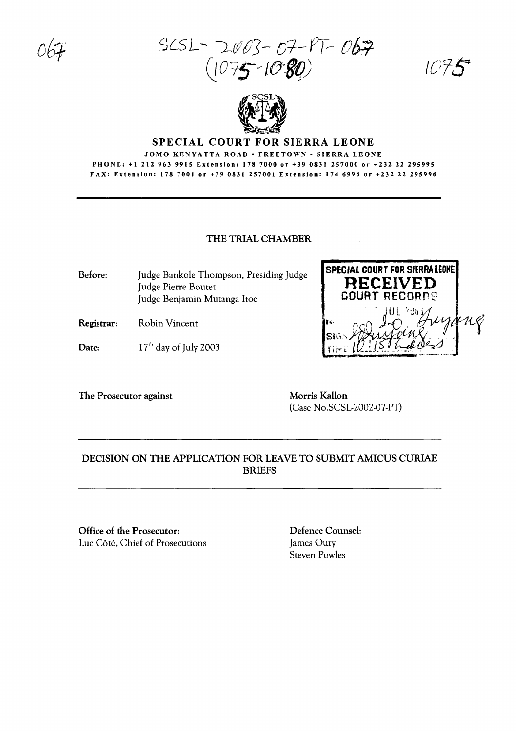SC5L- L{fllJiJ- *01-Prr- (7fR.*  $075 - 1080$ 

IC'T.

'N Ç



### SPECIAL COURT FOR SIERRA LEONE

#### JOMO KENYATTA ROAD· FREETOWN· SIERRA LEONE PHONE: +1 212 963 9915 Extension: 178 7000 or +39 0831 257000 or +232 22 295995 FAX: Extension: 1787001 or +39 0831 257001 Extension: 1746996 or +232 22 295996

### THE TRIAL CHAMBER

Before: Judge Bankole Thompson, Presiding Judge Judge Pierre Boutet Judge Benjamin Mutanga ltoe

Registrar: Robin Vincent

Date:  $17<sup>th</sup>$  day of July 2003

The Prosecutor against Morris Kallon

(Case No.SCSL-2002-07-PT)

**SPECIAL COURT FOR** SfERRA LEONE **RECEIVED** COURT RECORDS

r,~, .. ~O' 'J~ :j'~1 Sib"" lie de la france

# DECISION ON THE APPLICATION FOR LEAVE TO SUBMIT AMICUS CURIAE BRIEFS

Office of the Prosecutor: Luc Côté, Chief of Prosecutions Defence Counsel: James Oury Steven Powles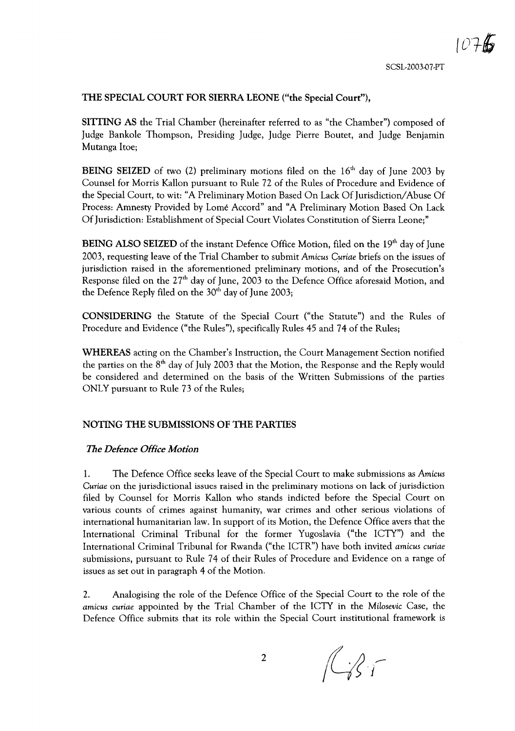## THE SPECIAL COURT FOR SIERRA LEONE ("the Special Court"),

SITTING AS the Trial Chamber (hereinafter referred to as "the Chamber") composed of Judge Bankole Thompson, Presiding Judge, Judge Pierre Boutet, and Judge Benjamin Mutanga Itoe;

BEING SEIZED of two (2) preliminary motions filed on the  $16<sup>th</sup>$  day of June 2003 by Counsel for Morris Kallon pursuant to Rule 72 of the Rules of Procedure and Evidence of the Special Court, to wit: "A Preliminary Motion Based On Lack Of Jurisdiction/Abuse Of Process: Amnesty Provided by Lome Accord" and "A Preliminary Motion Based On Lack Of Jurisdiction: Establishment of Special Court Violates Constitution of Sierra Leone;"

**BEING ALSO SEIZED** of the instant Defence Office Motion, filed on the  $19<sup>th</sup>$  day of June 2003, requesting leave of the Trial Chamber to submit *Amicus Curiae briefs* on the issues of jurisdiction raised in the aforementioned preliminary motions, and of the Prosecution's Response filed on the  $27<sup>th</sup>$  day of June, 2003 to the Defence Office aforesaid Motion, and the Defence Reply filed on the 30<sup>th</sup> day of June 2003;

CONSIDERING the Statute of the Special Court ("the Statute") and the Rules of Procedure and Evidence ("the Rules"), specifically Rules 45 and 74 of the Rules;

WHEREAS acting on the Chamber's Instruction, the Court Management Section notified the parties on the  $8<sup>th</sup>$  day of July 2003 that the Motion, the Response and the Reply would be considered and determined on the basis of the Written Submissions of the parties ONLY pursuant to Rule 73 of the Rules;

### NOTING THE SUBMISSIONS OF THE PARTIES

#### *The Defence Office Motion*

1. The Defence Office seeks leave of the Special Court to make submissions as *Amicus Curiae* on the jurisdictional issues raised in the preliminary motions on lack of jurisdiction filed by Counsel for Morris Kallon who stands indicted before the Special Court on various counts of crimes against humanity, war crimes and other serious violations of international humanitarian law. In support of its Motion, the Defence Office avers that the International Criminal Tribunal for the former Yugoslavia ("the ICTY") and the International Criminal Tribunal for Rwanda ("the ICTR") have both invited *amicus curiae* submissions, pursuant to Rule 74 of their Rules of Procedure and Evidence on a range of issues as set out in paragraph 4 of the Motion.

2. Analogising the role of the Defence Office of the Special Court to the role of the *amicus curiae* appointed by the Trial Chamber of the ICTY in the *Milosevic* Case, the Defence Office submits that its role within the Special Court institutional framework is

 $\mathbb{C}$ 

2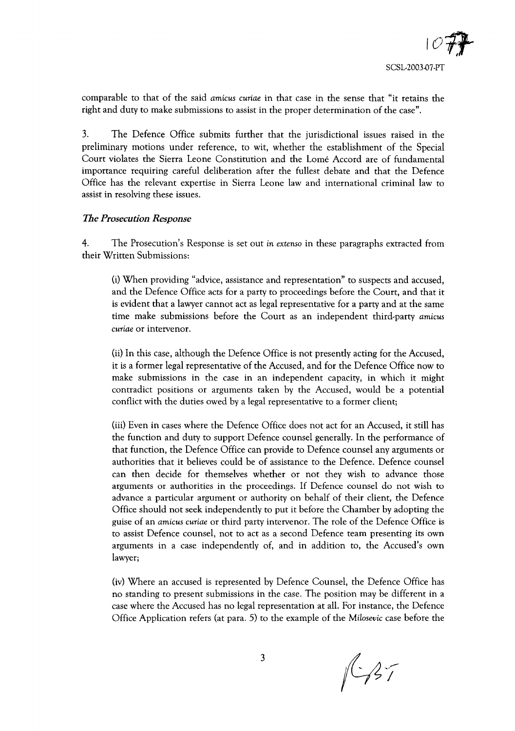comparable to that of the said *amicus curiae* in that case in the sense that "it retains the right and duty to make submissions to assist in the proper determination of the case".

3. The Defence Office submits further that the jurisdictional issues raised in the preliminary motions under reference, to wit, whether the establishment of the Special Court violates the Sierra Leone Constitution and the Lome Accord are of fundamental importance requiring careful deliberation after the fullest debate and that the Defence Office has the relevant expertise in Sierra Leone law and international criminal law to assist in resolving these issues.

## The *Prosecution Response*

4. The Prosecution's Response is set out in *extenso* in these paragraphs extracted from their Written Submissions:

(i) When providing "advice, assistance and representation" to suspects and accused, and the Defence Office acts for a party to proceedings before the Court, and that it is evident that a lawyer cannot act as legal representative for a party and at the same time make submissions before the Court as an independent third-party *amicus curiae* or intervenor.

(ii) In this case, although the Defence Office is not presently acting for the Accused, it is a former legal representative of the Accused, and for the Defence Office now to make submissions in the case in an independent capacity, in which it might contradict positions or arguments taken by the Accused, would be a potential conflict with the duties owed by a legal representative to a former client;

(iii) Even in cases where the Defence Office does not act for an Accused, it still has the function and duty to support Defence counsel generally. In the performance of that function, the Defence Office can provide to Defence counsel any arguments or authorities that it believes could be of assistance to the Defence. Defence counsel can then decide for themselves whether or not they wish to advance those arguments or authorities in the proceedings. If Defence counsel do not wish to advance a particular argument or authority on behalf of their client, the Defence Office should not seek independently to put it before the Chamber by adopting the guise of an *amicus curiae* or third party intervenor. The role of the Defence Office is to assist Defence counsel, not to act as a second Defence team presenting its own arguments in a case independently of, and in addition to, the Accused's own lawyer;

(iv) Where an accused is represented by Defence Counsel, the Defence Office has no standing to present submissions in the case. The position may be different in a case where the Accused has no legal representation at all. For instance, the Defence Office Application refers (at para. 5) to the example of the *Milosevic* case before the

 $147$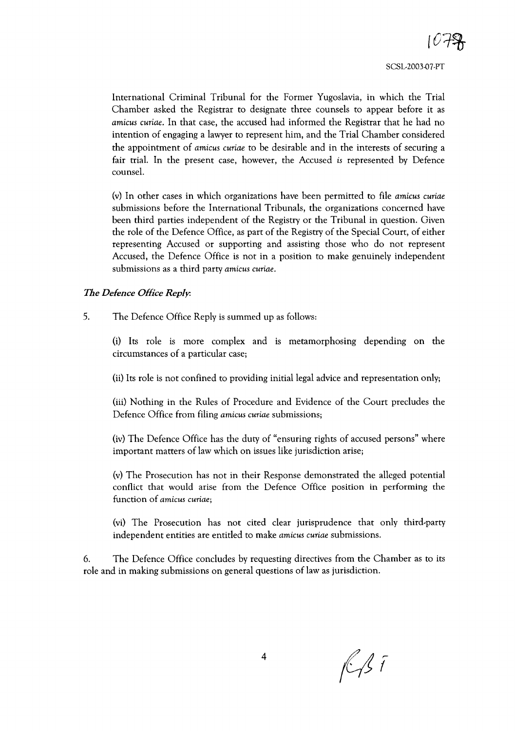International Criminal Tribunal for the Former Yugoslavia, in which the Trial Chamber asked the Registrar to designate three counsels to appear before it as *amicus curiae.* In that case, the accused had informed the Registrar that he had no intention of engaging a lawyer to represent him, and the Trial Chamber considered the appointment of *amicus curiae* to be desirable and in the interests of securing a fair trial. In the present case, however, the Accused is represented by Defence counsel.

(v) In other cases in which organizations have been permitted to file *amicus curiae* submissions before the International Tribunals, the organizations concerned have been third parties independent of the Registry or the Tribunal in question. Given the role of the Defence Office, as part of the Registry of the Special Court, of either representing Accused or supporting and assisting those who do not represent Accused, the Defence Office is not in a position to make genuinely independent submissions as a third party *amicus curiae.*

## *The Defence Office Reply:*

5. The Defence Office Reply is summed up as follows:

(i) Its role is more complex and is metamorphosing depending on the circumstances of a particular case;

(ii) Its role is not confined to providing initial legal advice and representation only;

(iii) Nothing in the Rules of Procedure and Evidence of the Court precludes the Defence Office from filing *amicus curiae* submissions;

(iv) The Defence Office has the duty of "ensuring rights of accused persons" where important matters of law which on issues like jurisdiction arise;

(v) The Prosecution has not in their Response demonstrated the alleged potential conflict that would arise from the Defence Office position in performing the function of *amicus curiae;*

(vi) The Prosecution has not cited clear jurisprudence that only third-party independent entities are entitled to make *amicus curiae* submissions.

6. The Defence Office concludes by requesting directives from the Chamber as to its role and in making submissions on general questions of law as jurisdiction.

 $f\rightarrow f$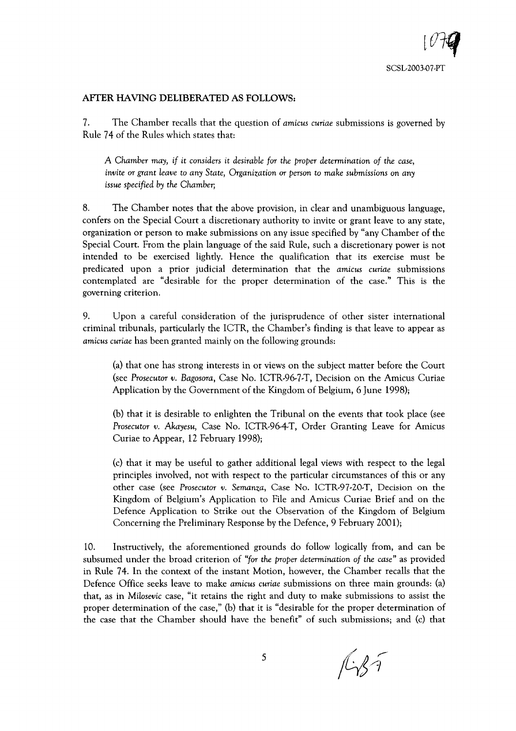# **AFTER HAVING DELIBERATED AS FOLLOWS:**

7. The Chamber recalls that the question of *amicus curiae* submissions is governed by Rule 74 of the Rules which states that:

A *Chamber may, if* it *considers* it *desirable for the proper determination of the case, invite* or *grant leave* to *any State, Organization* or *person* to *make submissions* on *any issue specified by the Chamber;*

8. The Chamber notes that the above provision, in clear and unambiguous language, confers on the Special Court a discretionary authority to invite or grant leave to any state, organization or person to make submissions on any issue specified by "any Chamber of the Special Court. From the plain language of the said Rule, such a discretionary power is not intended to be exercised lightly. Hence the qualification that its exercise must be predicated upon a prior judicial determination that the *amicus curiae* submissions contemplated are "desirable for the proper determination of the case." This is the governing criterion.

9. Upon a careful consideration of the jurisprudence of other sister international criminal tribunals, particularly the ICTR, the Chamber's finding is that leave to appear as *amicus curiae* has been granted mainly on the following grounds:

(a) that one has strong interests in or views on the subject matter before the Court (see *Prosecutor v. Bagosora,* Case No. ICTR-96-7-T, Decision on the Amicus Curiae Application by the Government of the Kingdom of Belgium, 6 June 1998);

(b) that it is desirable to enlighten the Tribunal on the events that took place (see *Prosecutor v. Akayesu,* Case No. ICTR-96-4-T, Order Granting Leave for Amicus Curiae to Appear, 12 February 1998);

(c) that it may be useful to gather additional legal views with respect to the legal principles involved, not with respect to the particular circumstances of this or any other case (see *Prosecutor v. Semanza,* Case No. ICTR-97-20-T, Decision on the Kingdom of Belgium's Application to File and Amicus Curiae Brief and on the Defence Application to Strike our the Observation of the Kingdom of Belgium Concerning the Preliminary Response by the Defence, 9 February 2001);

10. Instructively, the aforementioned grounds do follow logically from, and can be subsumed under the broad criterion of *"for the proper determination of the case"* as provided in Rule 74. In the context of the instant Motion, however, the Chamber recalls that the Defence Office seeks leave to make *amicus curiae* submissions on three main grounds: (a) that, as in *Milosevic* case, "it retains the right and duty to make submissions to assist the proper determination of the case," (b) that it is "desirable for the proper determination of the case that the Chamber should have the benefit" of such submissions; and (c) that

 $f\rightarrow f$